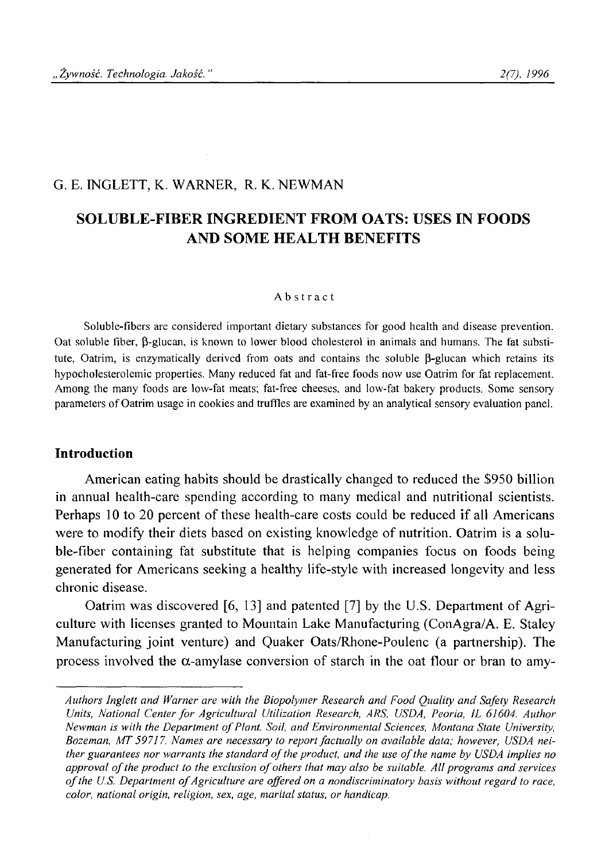### G. E. INGLETT, K. WARNER, R. K. NEWMAN

# **SOLUBLE-FIBER INGREDIENT FROM OATS: USES IN FOODS AND SOME HEALTH BENEFITS**

#### **Abstract**

**Soluble-fibers are considered important dietary substances for good health and disease prevention. Oat soluble fiber, (3-glucan, is known to lower blood cholesterol in animals and humans. The fat substi**tute, Oatrim, is enzymatically derived from oats and contains the soluble β-glucan which retains its **hypocholesterolemic properties. Many reduced fat and fat-free foods now use Oatrim for fat replacement. Among the many foods are low-fat meats; fat-free cheeses, and low-fat bakery products. Some sensory** parameters of Oatrim usage in cookies and truffles are examined by an analytical sensory evaluation panel.

### **Introduction**

American eating habits should be drastically changed to reduced the \$950 billion in annual health-care spending according to many medical and nutritional scientists. Perhaps 10 to 20 percent of these health-care costs could be reduced if all Americans were to modify their diets based on existing knowledge of nutrition. Oatrim is a soluble-fiber containing fat substitute that is helping companies focus on foods being generated for Americans seeking a healthy life-style with increased longevity and less chronic disease.

Oatrim was discovered [6, 13] and patented [7] by the U.S. Department of Agriculture with licenses granted to Mountain Lake Manufacturing (ConAgra/A. E. Staley Manufacturing joint venture) and Quaker Oats/Rhone-Poulenc (a partnership). The process involved the  $\alpha$ -amylase conversion of starch in the oat flour or bran to amy-

*Authors Inglett and Warner are with the Biopolymer Research and Food Quality and Safety Research* Units, National Center for Agricultural Utilization Research, ARS, USDA, Peoria, IL 61604. Author *Newman is with the Department of Plant, Soil, and Environmental Sciences, Montana State University, Bozeman, MT 59717. Names are necessary to report factually on available data; however, USDA neither guarantees nor warrants the standard of the product, and the use of the name by USDA implies no approval of the product to the exclusion of others that may also be suitable. All programs and services o f the U.S. Department o f Agriculture are offered on a nondiscriminatory basis without regard to race, color, national origin, religion, sex, age, marital status, or handicap.*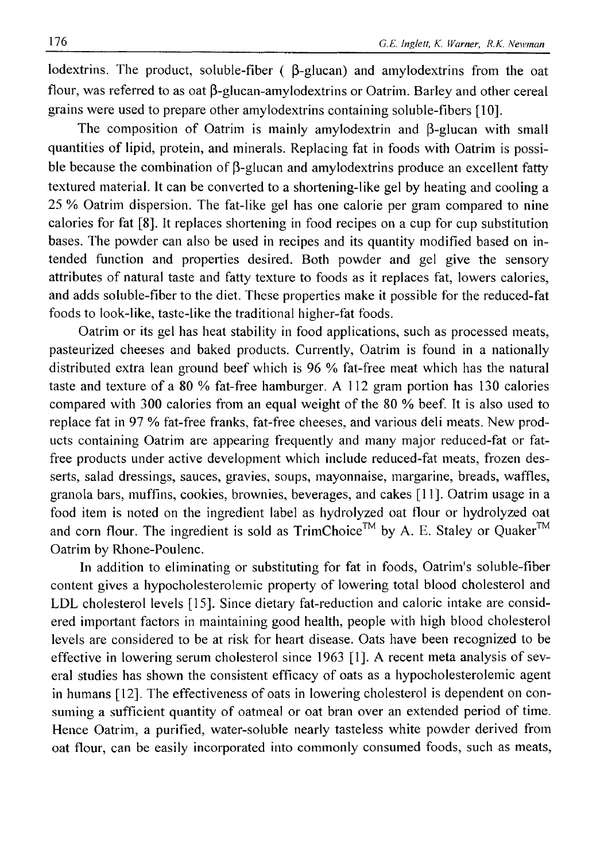lodextrins. The product, soluble-fiber  $( \beta$ -glucan) and amylodextrins from the oat flour, was referred to as oat  $\beta$ -glucan-amylodextrins or Oatrim. Barley and other cereal grains were used to prepare other amylodextrins containing soluble-fibers [10].

The composition of Oatrim is mainly amylodextrin and  $\beta$ -glucan with small quantities of lipid, protein, and minerals. Replacing fat in foods with Oatrim is possible because the combination of  $\beta$ -glucan and amylodextrins produce an excellent fatty textured material. It can be converted to a shortening-like gel by heating and cooling a 25 % Oatrim dispersion. The fat-like gel has one calorie per gram compared to nine calories for fat [8]. It replaces shortening in food recipes on a cup for cup substitution bases. The powder can also be used in recipes and its quantity modified based on intended function and properties desired. Both powder and gel give the sensory attributes of natural taste and fatty texture to foods as it replaces fat, lowers calories, and adds soluble-fiber to the diet. These properties make it possible for the reduced-fat foods to look-like, taste-like the traditional higher-fat foods.

Oatrim or its gel has heat stability in food applications, such as processed meats, pasteurized cheeses and baked products. Currently, Oatrim is found in a nationally distributed extra lean ground beef which is 96 % fat-free meat which has the natural taste and texture of a 80 % fat-free hamburger. A 112 gram portion has 130 calories compared with 300 calories from an equal weight of the 80 % beef. It is also used to replace fat in 97 % fat-free franks, fat-free cheeses, and various deli meats. New products containing Oatrim are appearing frequently and many major reduced-fat or fatfree products under active development which include reduced-fat meats, frozen desserts, salad dressings, sauces, gravies, soups, mayonnaise, margarine, breads, waffles, granola bars, muffins, cookies, brownies, beverages, and cakes [11]. Oatrim usage in a food item is noted on the ingredient label as hydrolyzed oat flour or hydrolyzed oat and corn flour. The ingredient is sold as TrimChoice™ by A. E. Staley or Quaker™ Oatrim by Rhone-Poulenc.

In addition to eliminating or substituting for fat in foods, Oatrim's soluble-fiber content gives a hypocholesterolemic property of lowering total blood cholesterol and LDL cholesterol levels [15]. Since dietary fat-reduction and caloric intake are considered important factors in maintaining good health, people with high blood cholesterol levels are considered to be at risk for heart disease. Oats have been recognized to be effective in lowering serum cholesterol since 1963 [1]. A recent meta analysis of several studies has shown the consistent efficacy of oats as a hypocholesterolemic agent in humans [12]. The effectiveness of oats in lowering cholesterol is dependent on consuming a sufficient quantity of oatmeal or oat bran over an extended period of time. Hence Oatrim, a purified, water-soluble nearly tasteless white powder derived from oat flour, can be easily incorporated into commonly consumed foods, such as meats,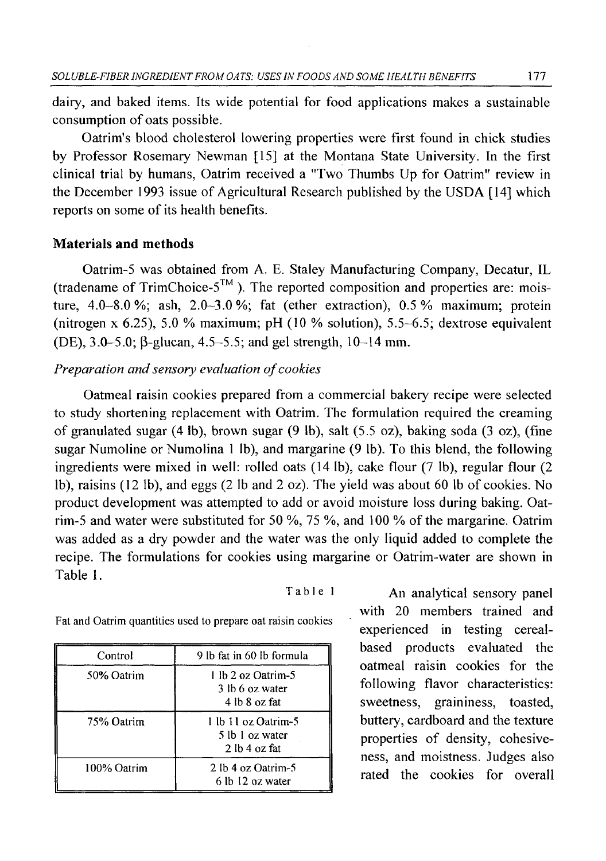dairy, and baked items. Its wide potential for food applications makes a sustainable consumption of oats possible.

Oatrim's blood cholesterol lowering properties were first found in chick studies by Professor Rosemary Newman [15] at the Montana State University. In the first clinical trial by humans, Oatrim received a "Two Thumbs Up for Oatrim" review in the December 1993 issue of Agricultural Research published by the USDA [14] which reports on some of its health benefits.

#### **Materials and methods**

Oatrim-5 was obtained from A. E. Staley Manufacturing Company, Decatur, IL (tradename of TrimChoice- $5^{TM}$ ). The reported composition and properties are: moisture,  $4.0-8.0\%$ ; ash,  $2.0-3.0\%$ ; fat (ether extraction),  $0.5\%$  maximum; protein (nitrogen x 6.25), 5.0 % maximum; pH (10 *%* solution), 5.5-6.5; dextrose equivalent (DE),  $3.0 - 5.0$ ;  $\beta$ -glucan,  $4.5 - 5.5$ ; and gel strength,  $10 - 14$  mm.

### *Preparation and sensory evaluation of cookies*

Oatmeal raisin cookies prepared from a commercial bakery recipe were selected to study shortening replacement with Oatrim. The formulation required the creaming of granulated sugar (4 lb), brown sugar (9 lb), salt (5.5 oz), baking soda (3 oz), (fine sugar Numoline or Numolina 1 lb), and margarine (9 lb). To this blend, the following ingredients were mixed in well: rolled oats (14 lb), cake flour (7 lb), regular flour (2 lb), raisins (12 lb), and eggs (2 lb and 2 oz). The yield was about 60 lb of cookies. No product development was attempted to add or avoid moisture loss during baking. Oatrim-5 and water were substituted for 50 %, 75 %, and 100 % of the margarine. Oatrim was added as a dry powder and the water was the only liquid added to complete the recipe. The formulations for cookies using margarine or Oatrim-water are shown in Table 1.

| Table 1 |  |  |  |  |
|---------|--|--|--|--|
|---------|--|--|--|--|

**Control 9 lb fat in 60 lb formula 50% Oatrim 1 lb 2 oz Oatrim-5 3 lb 6 oz water 4 lb 8 oz fat 75% Oatrim 1 lb 11 oz Oatrim-5 5 lb 1 oz water 2 lb 4 oz fat 100% Oatrim 2 lb 4 oz Oatrim-5 6 lb 12 oz water**

An analytical sensory panel with 20 members trained and experienced in testing cerealbased products evaluated the oatmeal raisin cookies for the following flavor characteristics: sweetness, graininess, toasted, buttery, cardboard and the texture properties of density, cohesiveness, and moistness. Judges also rated the cookies for overall

**Fat and Oatrim quantities used to prepare oat raisin cookies**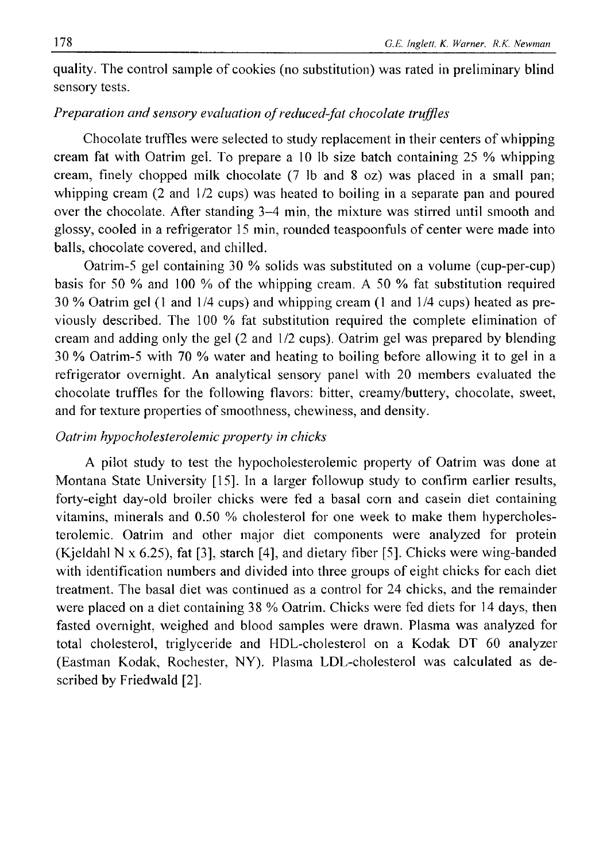quality. The control sample of cookies (no substitution) was rated in preliminary blind sensory tests.

## *Preparation and sensory evaluation of reduced-fat chocolate truffles*

Chocolate truffles were selected to study replacement in their centers of whipping cream fat with Oatrim gel. To prepare a 10 lb size batch containing 25 % whipping cream, finely chopped milk chocolate (7 lb and 8 oz) was placed in a small pan; whipping cream (2 and  $1/2$  cups) was heated to boiling in a separate pan and poured over the chocolate. After standing 3-4 min, the mixture was stirred until smooth and glossy, cooled in a refrigerator 15 min, rounded teaspoonfuls of center were made into balls, chocolate covered, and chilled.

Oatrim-5 gel containing 30 % solids was substituted on a volume (cup-per-cup) basis for 50 % and 100 % of the whipping cream. A 50 % fat substitution required 30 % Oatrim gel (1 and 1/4 cups) and whipping cream (1 and 1/4 cups) heated as previously described. The 100 % fat substitution required the complete elimination of cream and adding only the gel (2 and 1/2 cups). Oatrim gel was prepared by blending 30 % Oatrim-5 with 70 % water and heating to boiling before allowing it to gel in a refrigerator overnight. An analytical sensory panel with 20 members evaluated the chocolate truffles for the following flavors: bitter, creamy/buttery, chocolate, sweet, and for texture properties of smoothness, chewiness, and density.

## *Oatrim hypocholesterolemic property in chicks*

A pilot study to test the hypocholesterolemic property of Oatrim was done at Montana State University [15]. In a larger followup study to confirm earlier results, forty-eight day-old broiler chicks were fed a basal corn and casein diet containing vitamins, minerals and 0.50 % cholesterol for one week to make them hypercholesterolemic. Oatrim and other major diet components were analyzed for protein (Kjeldahl N x 6.25), fat [3], starch [4], and dietary fiber [5]. Chicks were wing-banded with identification numbers and divided into three groups of eight chicks for each diet treatment. The basal diet was continued as a control for 24 chicks, and the remainder were placed on a diet containing 38 % Oatrim. Chicks were fed diets for 14 days, then fasted overnight, weighed and blood samples were drawn. Plasma was analyzed for total cholesterol, triglyceride and HDL-cholesterol on a Kodak DT 60 analyzer (Eastman Kodak, Rochester, NY). Plasma LDL-cholesterol was calculated as described by Friedwald [2],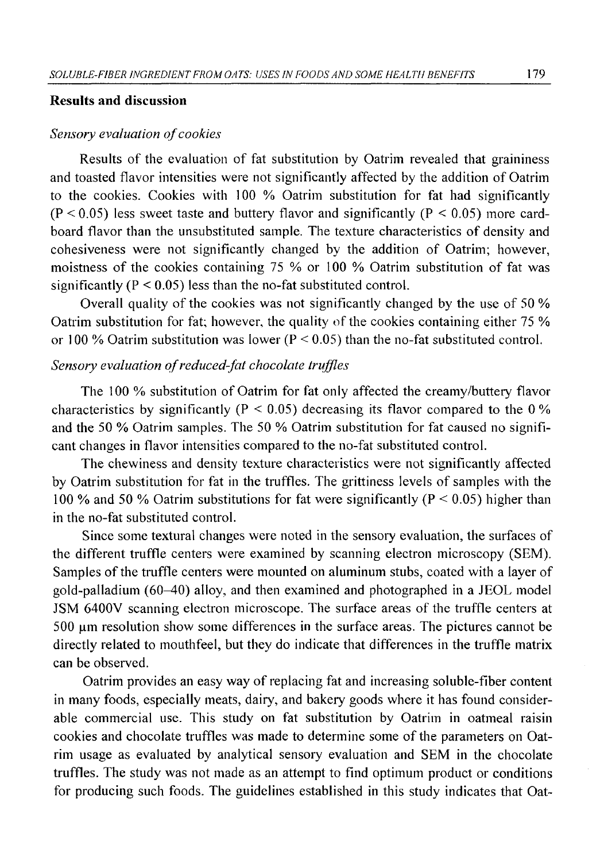#### **Results and discussion**

### **Sensory evaluation of cookies**

Results of the evaluation of fat substitution by Oatrim revealed that graininess and toasted flavor intensities were not significantly affected by the addition of Oatrim to the cookies. Cookies with 100 % Oatrim substitution for fat had significantly  $(P < 0.05)$  less sweet taste and buttery flavor and significantly  $(P < 0.05)$  more cardboard flavor than the unsubstituted sample. The texture characteristics of density and cohesiveness were not significantly changed by the addition of Oatrim; however, moistness of the cookies containing 75 % or 100 % Oatrim substitution of fat was significantly ( $P < 0.05$ ) less than the no-fat substituted control.

Overall quality of the cookies was not significantly changed by the use of 50 % Oatrim substitution for fat; however, the quality of the cookies containing either 75 % or 100 % Oatrim substitution was lower ( $P < 0.05$ ) than the no-fat substituted control.

## *Sensory evaluation of reduced-fat chocolate truffles*

The 100 % substitution of Oatrim for fat only affected the creamy/buttery flavor characteristics by significantly ( $P < 0.05$ ) decreasing its flavor compared to the 0% and the 50 % Oatrim samples. The 50 % Oatrim substitution for fat caused no significant changes in flavor intensities compared to the no-fat substituted control.

The chewiness and density texture characteristics were not significantly affected by Oatrim substitution for fat in the truffles. The grittiness levels of samples with the 100 % and 50 % Oatrim substitutions for fat were significantly ( $P < 0.05$ ) higher than in the no-fat substituted control.

Since some textural changes were noted in the sensory evaluation, the surfaces of the different truffle centers were examined by scanning electron microscopy (SEM). Samples of the truffle centers were mounted on aluminum stubs, coated with a layer of gold-palladium (60-40) alloy, and then examined and photographed in a JEOL model JSM 6400V scanning electron microscope. The surface areas of the truffle centers at  $500 \mu m$  resolution show some differences in the surface areas. The pictures cannot be directly related to mouthfeel, but they do indicate that differences in the truffle matrix can be observed.

Oatrim provides an easy way of replacing fat and increasing soluble-fiber content in many foods, especially meats, dairy, and bakery goods where it has found considerable commercial use. This study on fat substitution by Oatrim in oatmeal raisin cookies and chocolate truffles was made to determine some of the parameters on Oatrim usage as evaluated by analytical sensory evaluation and SEM in the chocolate truffles. The study was not made as an attempt to find optimum product or conditions for producing such foods. The guidelines established in this study indicates that Oat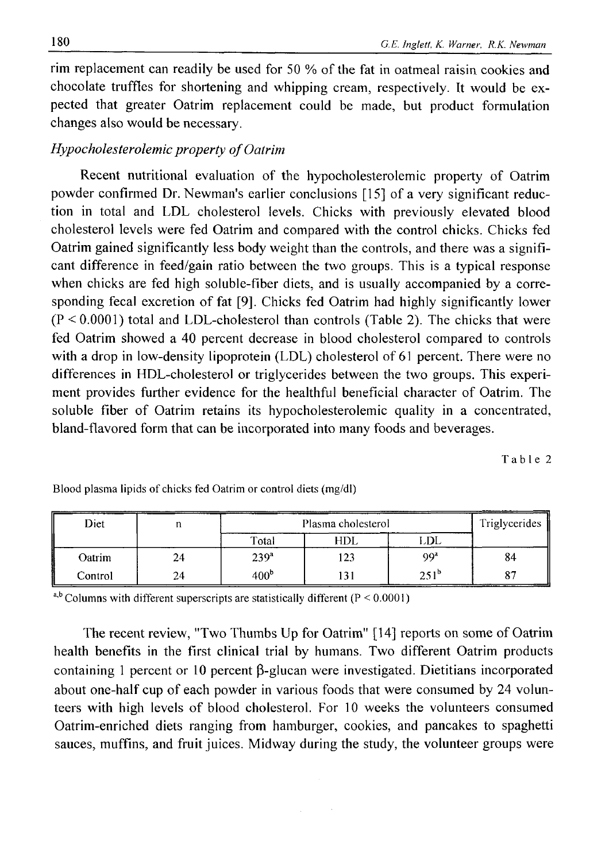rim replacement can readily be used for 50 % of the fat in oatmeal raisin cookies and chocolate truffles for shortening and whipping cream, respectively. It would be expected that greater Oatrim replacement could be made, but product formulation changes also would be necessary.

### *Hypocholesterolemic property of Oatrim*

Recent nutritional evaluation of the hypocholesterolemic property of Oatrim powder confirmed Dr. Newman's earlier conclusions [15] of a very significant reduction in total and LDL cholesterol levels. Chicks with previously elevated blood cholesterol levels were fed Oatrim and compared with the control chicks. Chicks fed Oatrim gained significantly less body weight than the controls, and there was a significant difference in feed/gain ratio between the two groups. This is a typical response when chicks are fed high soluble-fiber diets, and is usually accompanied by a corresponding fecal excretion of fat [9]. Chicks fed Oatrim had highly significantly lower  $(P < 0.0001)$  total and LDL-cholesterol than controls (Table 2). The chicks that were fed Oatrim showed a 40 percent decrease in blood cholesterol compared to controls with a drop in low-density lipoprotein (LDL) cholesterol of 61 percent. There were no differences in HDL-cholesterol or triglycerides between the two groups. This experiment provides further evidence for the healthful beneficial character of Oatrim. The soluble fiber of Oatrim retains its hypocholesterolemic quality in a concentrated, bland-flavored form that can be incorporated into many foods and beverages.

**Table 2**

| Diet    |    | Plasma cholesterol | Triglycerides |                  |                   |
|---------|----|--------------------|---------------|------------------|-------------------|
|         |    | Total              | HDL           | LDL              |                   |
| Oatrim  | 24 | 239 <sup>a</sup>   | 123           | 99 <sup>a</sup>  | 84                |
| Control | 24 | 400 <sup>b</sup>   | 131           | 251 <sup>b</sup> | $\mathbf{O}$<br>δ |

**Blood plasma lipids of chicks fed Oatrim or control diets (mg/dl)**

**a,b Columns with different superscripts are statistically different (P < 0.0001)**

The recent review, "Two Thumbs Up for Oatrim" [14] reports on some of Oatrim health benefits in the first clinical trial by humans. Two different Oatrim products containing 1 percent or 10 percent  $\beta$ -glucan were investigated. Dietitians incorporated about one-half cup of each powder in various foods that were consumed by 24 volunteers with high levels of blood cholesterol. For 10 weeks the volunteers consumed Oatrim-enriched diets ranging from hamburger, cookies, and pancakes to spaghetti sauces, muffins, and fruit juices. Midway during the study, the volunteer groups were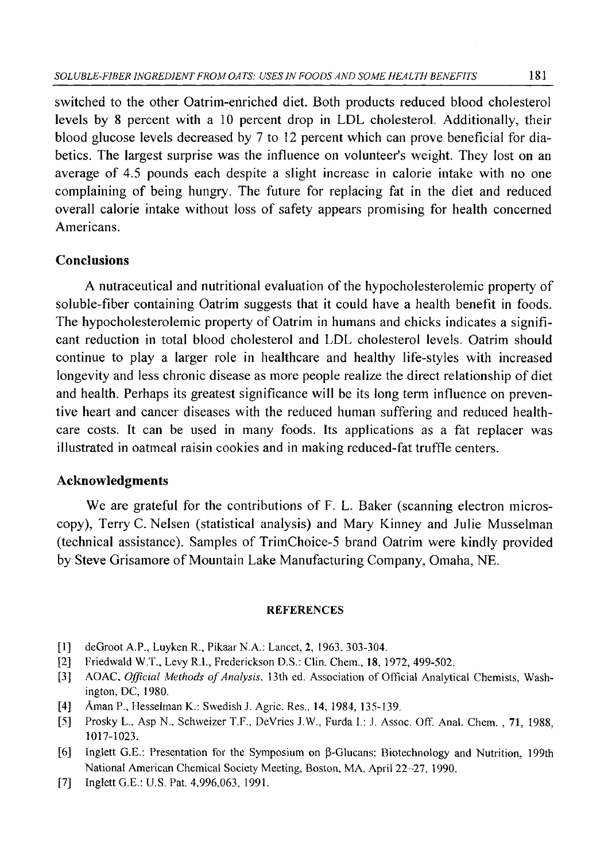switched to the other Oatrim-enriched diet. Both products reduced blood cholesterol levels by 8 percent with a 10 percent drop in LDL cholesterol. Additionally, their blood glucose levels decreased by 7 to 12 percent which can prove beneficial for diabetics. The largest surprise was the influence on volunteer's weight. They lost on an average of 4.5 pounds each despite a slight increase in calorie intake with no one complaining of being hungry. The future for replacing fat in the diet and reduced overall calorie intake without loss of safety appears promising for health concerned Americans.

## **Conclusions**

A nutraceutical and nutritional evaluation of the hypocholesterolemic property of soluble-fiber containing Oatrim suggests that it could have a health benefit in foods. The hypocholesterolemic property of Oatrim in humans and chicks indicates a significant reduction in total blood cholesterol and LDL cholesterol levels. Oatrim should continue to play a larger role in healthcare and healthy life-styles with increased longevity and less chronic disease as more people realize the direct relationship of diet and health. Perhaps its greatest significance will be its long term influence on preventive heart and cancer diseases with the reduced human suffering and reduced healthcare costs. It can be used in many foods. Its applications as a fat replacer was illustrated in oatmeal raisin cookies and in making reduced-fat truffle centers.

#### **Acknowledgments**

We are grateful for the contributions of F. L. Baker (scanning electron microscopy), Terry C. Nelsen (statistical analysis) and Mary Kinney and Julie Musselman (technical assistance). Samples of TrimChoice-5 brand Oatrim were kindly provided by Steve Grisamore of Mountain Lake Manufacturing Company, Omaha, NE.

#### **REFERENCES**

- **[1] deGroot A.P., Luyken R., Pikaar N.A.: Lancet, 2, 1963, 303-304.**
- **[2] Friedwald W.T., Levy R.I., Frederickson D.S.: Clin. Chem., 18, 1972, 499-502.**
- [3] AOAC, *Official Methods of Analysis*, 13th ed. Association of Official Analytical Chemists, Wash**ington, DC, 1980.**
- **[4] Aman P., Hesselman K.: Swedish J. Agric. Res., 14, 1984, 135-139.**
- **[5] Prosky L" Asp N., Schweizer T.F., DeVries J.W., Furda I.: J. Assoc. Off. Anal. Chem. , 71, 1988, 1017-1023.**
- **[6] Inglett G.E.: Presentation for the Symposium on p-Glucans: Biotechnology and Nutrition, 199th National American Chemical Society Meeting, Boston, MA, April 22-27, 1990.**
- **[7] Inglett G.E.: U.S. Pat. 4,996,063, 1991.**